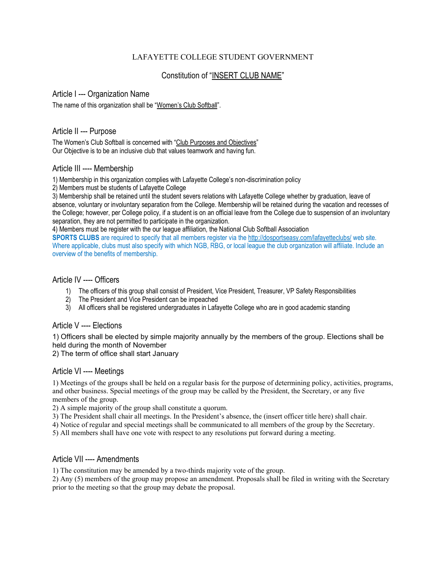# LAFAYETTE COLLEGE STUDENT GOVERNMENT

# Constitution of "INSERT CLUB NAME"

### Article I --- Organization Name

The name of this organization shall be "Women's Club Softball".

## Article II --- Purpose

The Women's Club Softball is concerned with "Club Purposes and Objectives" Our Objective is to be an inclusive club that values teamwork and having fun.

### Article III ---- Membership

1) Membership in this organization complies with Lafayette College's non-discrimination policy

2) Members must be students of Lafayette College

3) Membership shall be retained until the student severs relations with Lafayette College whether by graduation, leave of absence, voluntary or involuntary separation from the College. Membership will be retained during the vacation and recesses of the College; however, per College policy, if a student is on an official leave from the College due to suspension of an involuntary separation, they are not permitted to participate in the organization.

4) Members must be register with the our league affiliation, the National Club Softball Association

**SPORTS CLUBS** are required to specify that all members register via the<http://dosportseasy.com/lafayetteclubs/> web site. Where applicable, clubs must also specify with which NGB, RBG, or local league the club organization will affiliate. Include an overview of the benefits of membership.

# Article IV ---- Officers

- 1) The officers of this group shall consist of President, Vice President, Treasurer, VP Safety Responsibilities
- 2) The President and Vice President can be impeached
- 3) All officers shall be registered undergraduates in Lafayette College who are in good academic standing

# Article V ---- Elections

1) Officers shall be elected by simple majority annually by the members of the group. Elections shall be held during the month of November

2) The term of office shall start January

## Article VI ---- Meetings

1) Meetings of the groups shall be held on a regular basis for the purpose of determining policy, activities, programs, and other business. Special meetings of the group may be called by the President, the Secretary, or any five members of the group.

2) A simple majority of the group shall constitute a quorum.

- 3) The President shall chair all meetings. In the President's absence, the (insert officer title here) shall chair.
- 4) Notice of regular and special meetings shall be communicated to all members of the group by the Secretary.
- 5) All members shall have one vote with respect to any resolutions put forward during a meeting.

## Article VII ---- Amendments

1) The constitution may be amended by a two-thirds majority vote of the group.

2) Any (5) members of the group may propose an amendment. Proposals shall be filed in writing with the Secretary prior to the meeting so that the group may debate the proposal.